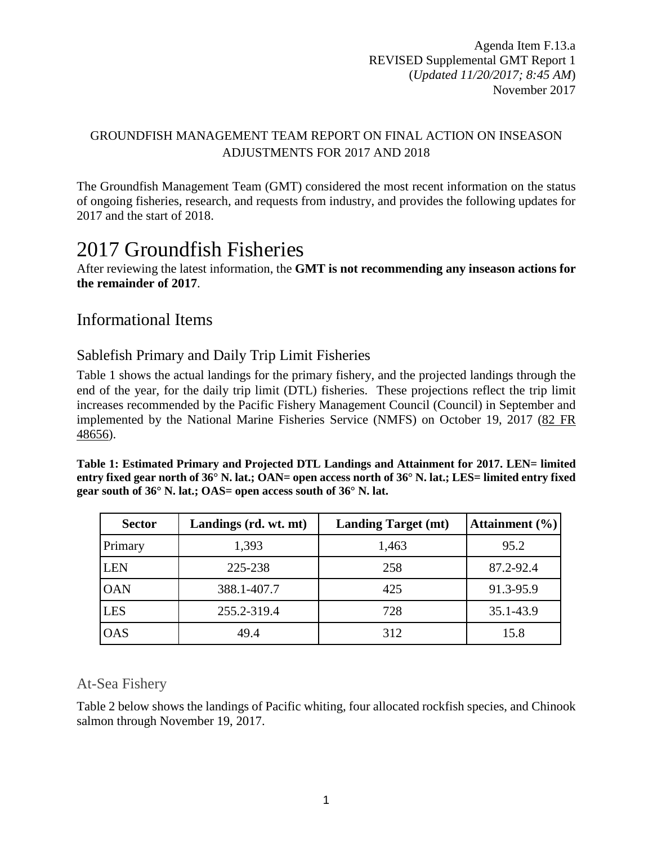# GROUNDFISH MANAGEMENT TEAM REPORT ON FINAL ACTION ON INSEASON ADJUSTMENTS FOR 2017 AND 2018

The Groundfish Management Team (GMT) considered the most recent information on the status of ongoing fisheries, research, and requests from industry, and provides the following updates for 2017 and the start of 2018.

# 2017 Groundfish Fisheries

#### After reviewing the latest information, the **GMT is not recommending any inseason actions for the remainder of 2017**.

# Informational Items

# Sablefish Primary and Daily Trip Limit Fisheries

[Table 1](#page-0-0) shows the actual landings for the primary fishery, and the projected landings through the end of the year, for the daily trip limit (DTL) fisheries. These projections reflect the trip limit increases recommended by the Pacific Fishery Management Council (Council) in September and implemented by the National Marine Fisheries Service (NMFS) on October 19, 2017 (82 [FR](https://www.gpo.gov/fdsys/pkg/FR-2017-09-27/pdf/2017-20692.pdf)  [48656\)](https://www.gpo.gov/fdsys/pkg/FR-2017-09-27/pdf/2017-20692.pdf).

<span id="page-0-0"></span>**Table 1: Estimated Primary and Projected DTL Landings and Attainment for 2017. LEN= limited entry fixed gear north of 36° N. lat.; OAN= open access north of 36° N. lat.; LES= limited entry fixed gear south of 36° N. lat.; OAS= open access south of 36° N. lat.**

| <b>Sector</b> | Landings (rd. wt. mt) | <b>Landing Target (mt)</b> | Attainment $(\% )$ |
|---------------|-----------------------|----------------------------|--------------------|
| Primary       | 1,393                 | 1,463                      | 95.2               |
| <b>LEN</b>    | 225-238               | 258                        | 87.2-92.4          |
| <b>OAN</b>    | 388.1-407.7           | 425                        | 91.3-95.9          |
| <b>LES</b>    | 255.2-319.4           | 728                        | 35.1-43.9          |
| <b>OAS</b>    | 49.4                  | 312                        | 15.8               |

# At-Sea Fishery

[Table 2](#page-1-0) below shows the landings of Pacific whiting, four allocated rockfish species, and Chinook salmon through November 19, 2017.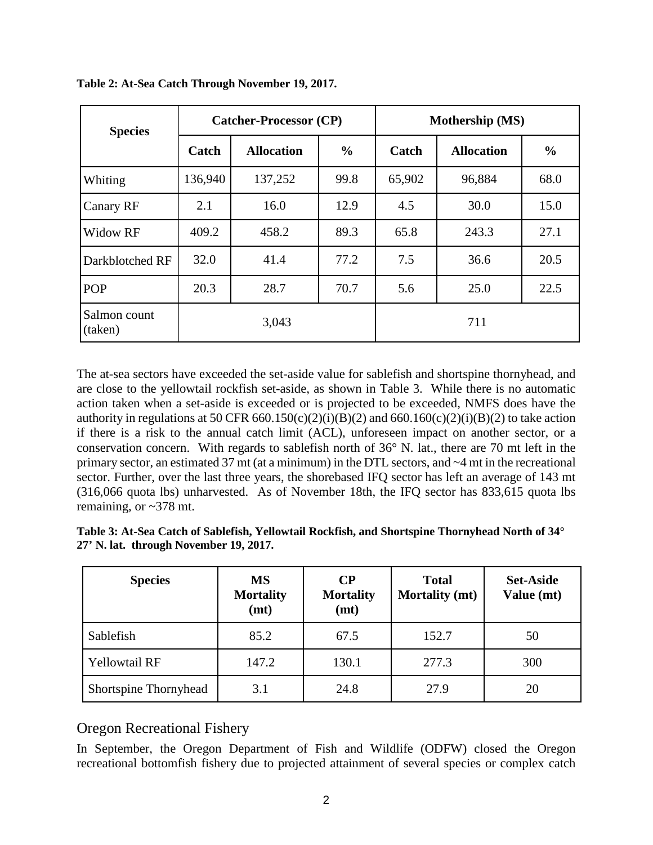| <b>Species</b>          |         | <b>Catcher-Processor (CP)</b> |               | Mothership (MS) |                   |               |  |
|-------------------------|---------|-------------------------------|---------------|-----------------|-------------------|---------------|--|
|                         | Catch   | <b>Allocation</b>             | $\frac{0}{0}$ | Catch           | <b>Allocation</b> | $\frac{0}{0}$ |  |
| Whiting                 | 136,940 | 137,252                       | 99.8          | 65,902          | 96,884            | 68.0          |  |
| Canary RF               | 2.1     | 16.0                          | 12.9          | 4.5             | 30.0              | 15.0          |  |
| Widow RF                | 409.2   | 458.2                         | 89.3          | 65.8            | 243.3             | 27.1          |  |
| Darkblotched RF         | 32.0    | 41.4                          | 77.2          | 7.5             | 36.6              | 20.5          |  |
| <b>POP</b>              | 20.3    | 28.7                          | 70.7          | 5.6             | 25.0              | 22.5          |  |
| Salmon count<br>(taken) |         | 3,043                         |               |                 | 711               |               |  |

<span id="page-1-0"></span>**Table 2: At-Sea Catch Through November 19, 2017.**

The at-sea sectors have exceeded the set-aside value for sablefish and shortspine thornyhead, and are close to the yellowtail rockfish set-aside, as shown in [Table 3.](#page-1-1) While there is no automatic action taken when a set-aside is exceeded or is projected to be exceeded, NMFS does have the authority in regulations at 50 CFR 660.150(c)(2)(i)(B)(2) and 660.160(c)(2)(i)(B)(2) to take action if there is a risk to the annual catch limit (ACL), unforeseen impact on another sector, or a conservation concern. With regards to sablefish north of 36° N. lat., there are 70 mt left in the primary sector, an estimated 37 mt (at a minimum) in the DTL sectors, and ~4 mt in the recreational sector. Further, over the last three years, the shorebased IFQ sector has left an average of 143 mt (316,066 quota lbs) unharvested. As of November 18th, the IFQ sector has 833,615 quota lbs remaining, or  $\approx 378$  mt.

<span id="page-1-1"></span>

| Table 3: At-Sea Catch of Sablefish, Yellowtail Rockfish, and Shortspine Thornyhead North of 34 $^{\circ}$ |  |  |
|-----------------------------------------------------------------------------------------------------------|--|--|
| 27' N. lat. through November 19, 2017.                                                                    |  |  |

| <b>Species</b>        | <b>MS</b><br><b>Mortality</b><br>(mt) | $\bf CP$<br><b>Mortality</b><br>(mt) | <b>Total</b><br><b>Mortality (mt)</b> | <b>Set-Aside</b><br>Value (mt) |
|-----------------------|---------------------------------------|--------------------------------------|---------------------------------------|--------------------------------|
| Sablefish             | 85.2                                  | 67.5                                 | 152.7                                 | 50                             |
| <b>Yellowtail RF</b>  | 147.2                                 | 130.1                                | 277.3                                 | 300                            |
| Shortspine Thornyhead | 3.1                                   | 24.8                                 | 27.9                                  | 20                             |

### Oregon Recreational Fishery

In September, the Oregon Department of Fish and Wildlife (ODFW) closed the Oregon recreational bottomfish fishery due to projected attainment of several species or complex catch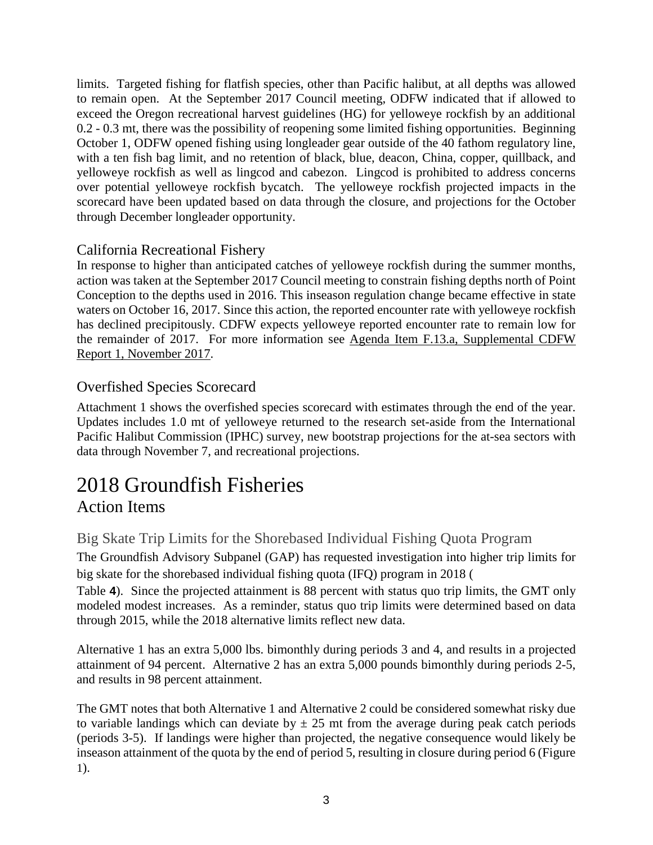limits. Targeted fishing for flatfish species, other than Pacific halibut, at all depths was allowed to remain open. At the September 2017 Council meeting, ODFW indicated that if allowed to exceed the Oregon recreational harvest guidelines (HG) for yelloweye rockfish by an additional 0.2 - 0.3 mt, there was the possibility of reopening some limited fishing opportunities. Beginning October 1, ODFW opened fishing using longleader gear outside of the 40 fathom regulatory line, with a ten fish bag limit, and no retention of black, blue, deacon, China, copper, quillback, and yelloweye rockfish as well as lingcod and cabezon. Lingcod is prohibited to address concerns over potential yelloweye rockfish bycatch. The yelloweye rockfish projected impacts in the scorecard have been updated based on data through the closure, and projections for the October through December longleader opportunity.

# California Recreational Fishery

In response to higher than anticipated catches of yelloweye rockfish during the summer months, action was taken at the September 2017 Council meeting to constrain fishing depths north of Point Conception to the depths used in 2016. This inseason regulation change became effective in state waters on October 16, 2017. Since this action, the reported encounter rate with yelloweye rockfish has declined precipitously. CDFW expects yelloweye reported encounter rate to remain low for the remainder of 2017. For more information see [Agenda Item F.13.a, Supplemental CDFW](https://www.pcouncil.org/wp-content/uploads/2017/10/F13a_Sup_CDFW_Rpt1_NOV2017BB.pdf)  [Report 1, November 2017.](https://www.pcouncil.org/wp-content/uploads/2017/10/F13a_Sup_CDFW_Rpt1_NOV2017BB.pdf)

# Overfished Species Scorecard

Attachment 1 shows the overfished species scorecard with estimates through the end of the year. Updates includes 1.0 mt of yelloweye returned to the research set-aside from the International Pacific Halibut Commission (IPHC) survey, new bootstrap projections for the at-sea sectors with data through November 7, and recreational projections.

# 2018 Groundfish Fisheries Action Items

# Big Skate Trip Limits for the Shorebased Individual Fishing Quota Program

The Groundfish Advisory Subpanel (GAP) has requested investigation into higher trip limits for big skate for the shorebased individual fishing quota (IFQ) program in 2018 [\(](#page-3-0)

[Table](#page-3-0) **4**). Since the projected attainment is 88 percent with status quo trip limits, the GMT only modeled modest increases. As a reminder, status quo trip limits were determined based on data through 2015, while the 2018 alternative limits reflect new data.

Alternative 1 has an extra 5,000 lbs. bimonthly during periods 3 and 4, and results in a projected attainment of 94 percent. Alternative 2 has an extra 5,000 pounds bimonthly during periods 2-5, and results in 98 percent attainment.

The GMT notes that both Alternative 1 and Alternative 2 could be considered somewhat risky due to variable landings which can deviate by  $\pm 25$  mt from the average during peak catch periods (periods 3-5). If landings were higher than projected, the negative consequence would likely be inseason attainment of the quota by the end of period 5, resulting in closure during period 6 [\(Figure](#page-4-0) [1\)](#page-4-0).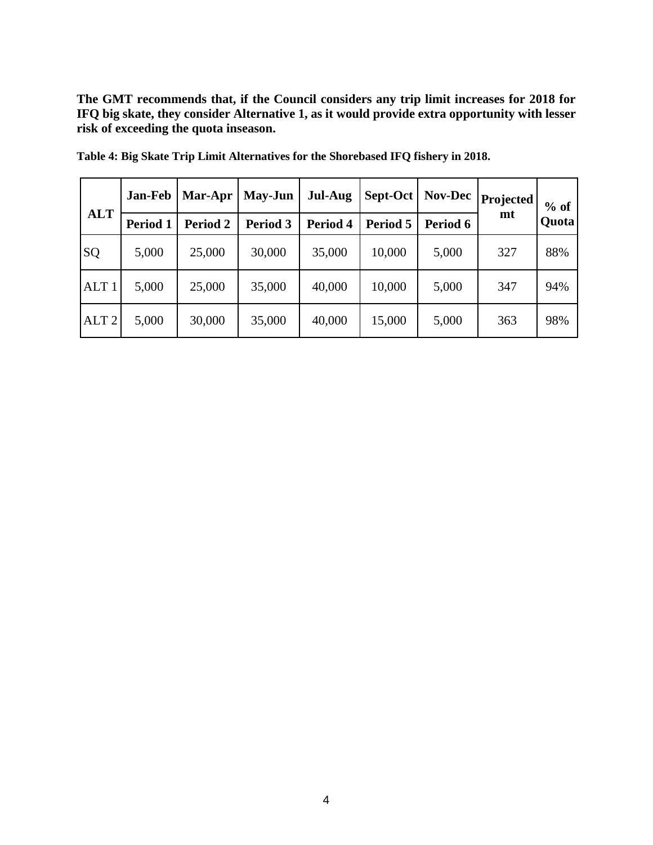**The GMT recommends that, if the Council considers any trip limit increases for 2018 for IFQ big skate, they consider Alternative 1, as it would provide extra opportunity with lesser risk of exceeding the quota inseason.**

|                  | Jan-Feb  | Mar-Apr  | <b>May-Jun</b>                               | <b>Jul-Aug</b> | Sept-Oct | <b>Nov-Dec</b> | Projected | $%$ of |
|------------------|----------|----------|----------------------------------------------|----------------|----------|----------------|-----------|--------|
| <b>ALT</b>       | Period 1 | Period 2 | Period 4<br>Period 3<br>Period 5<br>Period 6 |                | mt       | Quota          |           |        |
| SQ               | 5,000    | 25,000   | 30,000                                       | 35,000         | 10,000   | 5,000          | 327       | 88%    |
| ALT <sub>1</sub> | 5,000    | 25,000   | 35,000                                       | 40,000         | 10,000   | 5,000          | 347       | 94%    |
| ALT <sub>2</sub> | 5,000    | 30,000   | 35,000                                       | 40,000         | 15,000   | 5,000          | 363       | 98%    |

<span id="page-3-0"></span>**Table 4: Big Skate Trip Limit Alternatives for the Shorebased IFQ fishery in 2018.**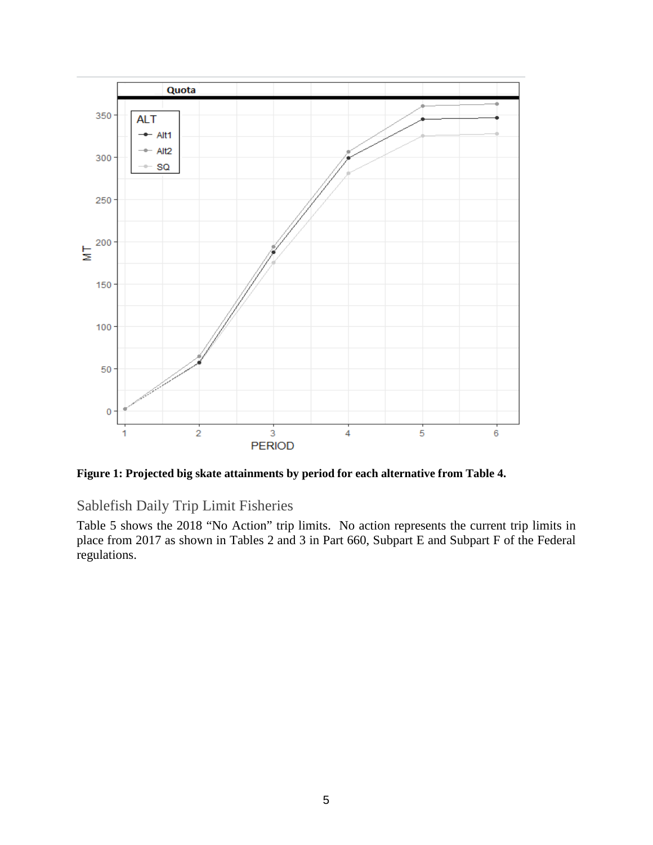

<span id="page-4-0"></span>**Figure 1: Projected big skate attainments by period for each alternative from Table 4.**

Sablefish Daily Trip Limit Fisheries

[Table 5](#page-5-0) shows the 2018 "No Action" trip limits. No action represents the current trip limits in place from 2017 as shown in Tables 2 and 3 in Part 660, Subpart E and Subpart F of the Federal regulations.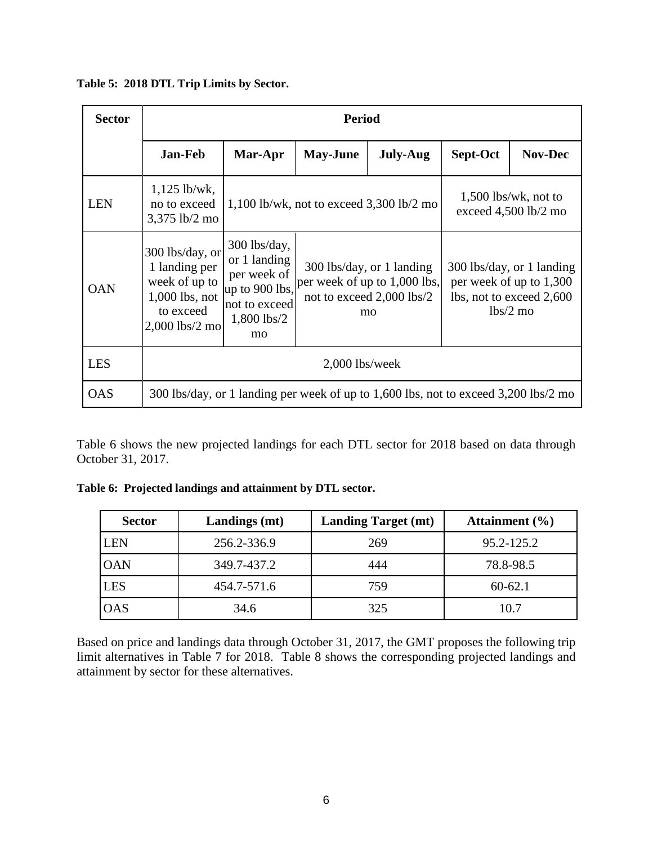<span id="page-5-0"></span>**Table 5: 2018 DTL Trip Limits by Sector.**

| <b>Sector</b> |                                                                                                      | <b>Period</b>                                                                                         |                                                                                                |                                                                                              |          |                                                                                                |  |  |  |  |
|---------------|------------------------------------------------------------------------------------------------------|-------------------------------------------------------------------------------------------------------|------------------------------------------------------------------------------------------------|----------------------------------------------------------------------------------------------|----------|------------------------------------------------------------------------------------------------|--|--|--|--|
|               | Jan-Feb                                                                                              | Mar-Apr                                                                                               | <b>May-June</b>                                                                                | <b>July-Aug</b>                                                                              | Sept-Oct | <b>Nov-Dec</b>                                                                                 |  |  |  |  |
| <b>LEN</b>    | $1,125$ lb/wk,<br>no to exceed<br>3,375 lb/2 mo                                                      |                                                                                                       | $1,500$ lbs/wk, not to<br>$1,100$ lb/wk, not to exceed $3,300$ lb/2 mo<br>exceed 4,500 lb/2 mo |                                                                                              |          |                                                                                                |  |  |  |  |
| <b>OAN</b>    | 300 lbs/day, or<br>1 landing per<br>week of up to<br>$1,000$ lbs, not<br>to exceed<br>2,000 lbs/2 mo | $300$ lbs/day,<br>or 1 landing<br>per week of<br>up to 900 lbs,<br>not to exceed<br>1,800 lbs/2<br>mo |                                                                                                | 300 lbs/day, or 1 landing<br>per week of up to 1,000 lbs,<br>not to exceed 2,000 lbs/2<br>mo |          | 300 lbs/day, or 1 landing<br>per week of up to 1,300<br>lbs, not to exceed 2,600<br>$lbs/2$ mo |  |  |  |  |
| <b>LES</b>    |                                                                                                      | $2,000$ lbs/week                                                                                      |                                                                                                |                                                                                              |          |                                                                                                |  |  |  |  |
| <b>OAS</b>    |                                                                                                      |                                                                                                       |                                                                                                | 300 lbs/day, or 1 landing per week of up to 1,600 lbs, not to exceed 3,200 lbs/2 mo          |          |                                                                                                |  |  |  |  |

[Table 6](#page-5-1) shows the new projected landings for each DTL sector for 2018 based on data through October 31, 2017.

| <b>Sector</b> | Landings (mt) | <b>Landing Target (mt)</b> | Attainment $(\% )$ |
|---------------|---------------|----------------------------|--------------------|
| LEN           | 256.2-336.9   | 269                        | 95.2-125.2         |
| <b>OAN</b>    | 349.7-437.2   | 444                        | 78.8-98.5          |
| LES           | 454.7-571.6   | 759                        | $60 - 62.1$        |
| <b>OAS</b>    | 34.6          | 325                        | 10.7               |

<span id="page-5-1"></span>**Table 6: Projected landings and attainment by DTL sector.** 

Based on price and landings data through October 31, 2017, the GMT proposes the following trip limit alternatives in [Table 7](#page-6-0) for 2018. [Table 8](#page-6-1) shows the corresponding projected landings and attainment by sector for these alternatives.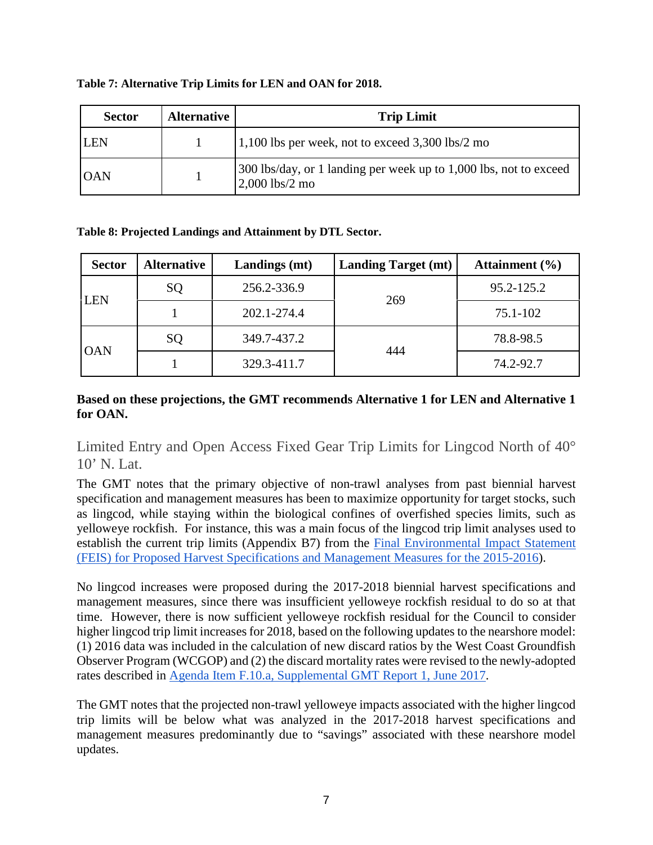| <b>Sector</b> | <b>Alternative</b> | <b>Trip Limit</b>                                                                     |
|---------------|--------------------|---------------------------------------------------------------------------------------|
| <b>ILEN</b>   |                    | $1,100$ lbs per week, not to exceed 3,300 lbs/2 mo                                    |
| <b>OAN</b>    |                    | 300 lbs/day, or 1 landing per week up to 1,000 lbs, not to exceed<br>$2,000$ lbs/2 mo |

#### <span id="page-6-0"></span>**Table 7: Alternative Trip Limits for LEN and OAN for 2018.**

#### <span id="page-6-1"></span>**Table 8: Projected Landings and Attainment by DTL Sector.**

| <b>Sector</b> | <b>Alternative</b> | <b>Landings</b> (mt) | <b>Landing Target (mt)</b> | Attainment $(\% )$ |  |
|---------------|--------------------|----------------------|----------------------------|--------------------|--|
|               | SQ                 | 256.2-336.9          | 269                        | 95.2-125.2         |  |
| <b>LEN</b>    |                    | 202.1-274.4          |                            | 75.1-102           |  |
| <b>OAN</b>    | SQ                 | 349.7-437.2          | 444                        | 78.8-98.5          |  |
|               |                    | 329.3-411.7          |                            | 74.2-92.7          |  |

#### **Based on these projections, the GMT recommends Alternative 1 for LEN and Alternative 1 for OAN.**

Limited Entry and Open Access Fixed Gear Trip Limits for Lingcod North of 40° 10' N. Lat.

The GMT notes that the primary objective of non-trawl analyses from past biennial harvest specification and management measures has been to maximize opportunity for target stocks, such as lingcod, while staying within the biological confines of overfished species limits, such as yelloweye rockfish. For instance, this was a main focus of the lingcod trip limit analyses used to establish the current trip limits (Appendix B7) from the [Final Environmental Impact Statement](http://www.pcouncil.org/wp-content/uploads/GF15_16_SpexFEISJanuary2015.pdf)  [\(FEIS\) for Proposed Harvest Specifications and Management Measures for the 2015-2016\)](http://www.pcouncil.org/wp-content/uploads/GF15_16_SpexFEISJanuary2015.pdf).

No lingcod increases were proposed during the 2017-2018 biennial harvest specifications and management measures, since there was insufficient yelloweye rockfish residual to do so at that time. However, there is now sufficient yelloweye rockfish residual for the Council to consider higher lingcod trip limit increases for 2018, based on the following updates to the nearshore model: (1) 2016 data was included in the calculation of new discard ratios by the West Coast Groundfish Observer Program (WCGOP) and (2) the discard mortality rates were revised to the newly-adopted rates described in [Agenda Item F.10.a, Supplemental GMT Report 1, June 2017.](http://www.pcouncil.org/wp-content/uploads/2017/06/F10a_Sup_GMT_Rpt_InseasonRpt1-Final_DMRS_for_BB_and_WCGOP_Jun2017BB.pdf)

The GMT notes that the projected non-trawl yelloweye impacts associated with the higher lingcod trip limits will be below what was analyzed in the 2017-2018 harvest specifications and management measures predominantly due to "savings" associated with these nearshore model updates.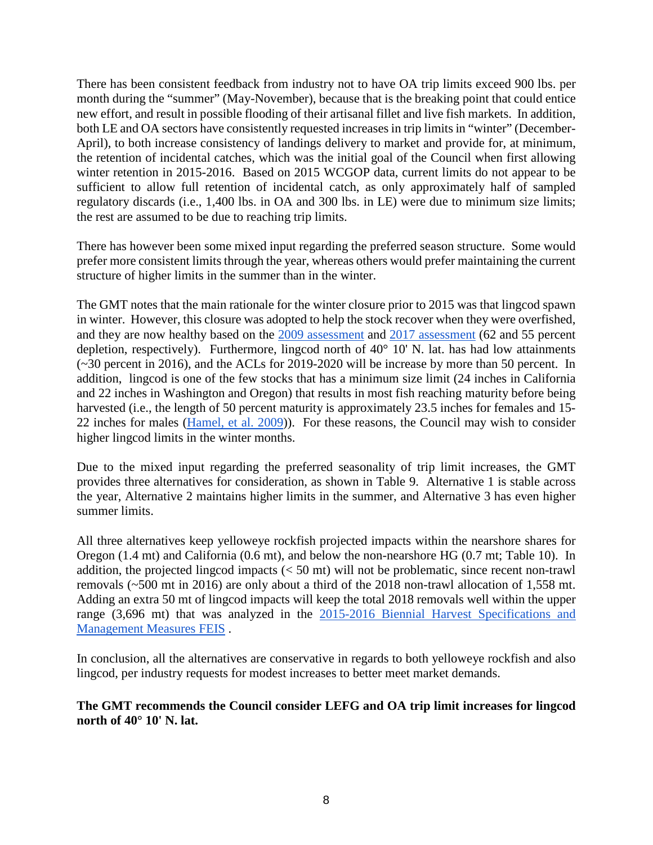There has been consistent feedback from industry not to have OA trip limits exceed 900 lbs. per month during the "summer" (May-November), because that is the breaking point that could entice new effort, and result in possible flooding of their artisanal fillet and live fish markets. In addition, both LE and OA sectors have consistently requested increases in trip limits in "winter" (December-April), to both increase consistency of landings delivery to market and provide for, at minimum, the retention of incidental catches, which was the initial goal of the Council when first allowing winter retention in 2015-2016. Based on 2015 WCGOP data, current limits do not appear to be sufficient to allow full retention of incidental catch, as only approximately half of sampled regulatory discards (i.e., 1,400 lbs. in OA and 300 lbs. in LE) were due to minimum size limits; the rest are assumed to be due to reaching trip limits.

There has however been some mixed input regarding the preferred season structure. Some would prefer more consistent limits through the year, whereas others would prefer maintaining the current structure of higher limits in the summer than in the winter.

The GMT notes that the main rationale for the winter closure prior to 2015 was that lingcod spawn in winter. However, this closure was adopted to help the stock recover when they were overfished, and they are now healthy based on the [2009 assessment](http://www.pcouncil.org/wp-content/uploads/Lingcod_Assessment_2009_Final_SAFE_version.pdf) and [2017 assessment](https://www.pcouncil.org/wp-content/uploads/2017/08/E8_Att1_Lingcod_FullDoc_E-Only_SEPT2017BB.pdf) (62 and 55 percent depletion, respectively). Furthermore, lingcod north of 40° 10' N. lat. has had low attainments (~30 percent in 2016), and the ACLs for 2019-2020 will be increase by more than 50 percent. In addition, lingcod is one of the few stocks that has a minimum size limit (24 inches in California and 22 inches in Washington and Oregon) that results in most fish reaching maturity before being harvested (i.e., the length of 50 percent maturity is approximately 23.5 inches for females and 15-22 inches for males [\(Hamel, et al. 2009\)](http://www.pcouncil.org/wp-content/uploads/Lingcod_Assessment_2009_Final_SAFE_version.pdf)). For these reasons, the Council may wish to consider higher lingcod limits in the winter months.

Due to the mixed input regarding the preferred seasonality of trip limit increases, the GMT provides three alternatives for consideration, as shown in [Table 9.](#page-8-0) Alternative 1 is stable across the year, Alternative 2 maintains higher limits in the summer, and Alternative 3 has even higher summer limits.

All three alternatives keep yelloweye rockfish projected impacts within the nearshore shares for Oregon (1.4 mt) and California (0.6 mt), and below the non-nearshore HG (0.7 mt; [Table 10\)](#page-8-1). In addition, the projected lingcod impacts (< 50 mt) will not be problematic, since recent non-trawl removals (~500 mt in 2016) are only about a third of the 2018 non-trawl allocation of 1,558 mt. Adding an extra 50 mt of lingcod impacts will keep the total 2018 removals well within the upper range (3,696 mt) that was analyzed in the [2015-2016 Biennial Harvest Specifications and](http://www.pcouncil.org/wp-content/uploads/GF15_16_SpexFEISJanuary2015.pdf)  [Management Measures FEIS](http://www.pcouncil.org/wp-content/uploads/GF15_16_SpexFEISJanuary2015.pdf) .

In conclusion, all the alternatives are conservative in regards to both yelloweye rockfish and also lingcod, per industry requests for modest increases to better meet market demands.

**The GMT recommends the Council consider LEFG and OA trip limit increases for lingcod north of 40° 10' N. lat.**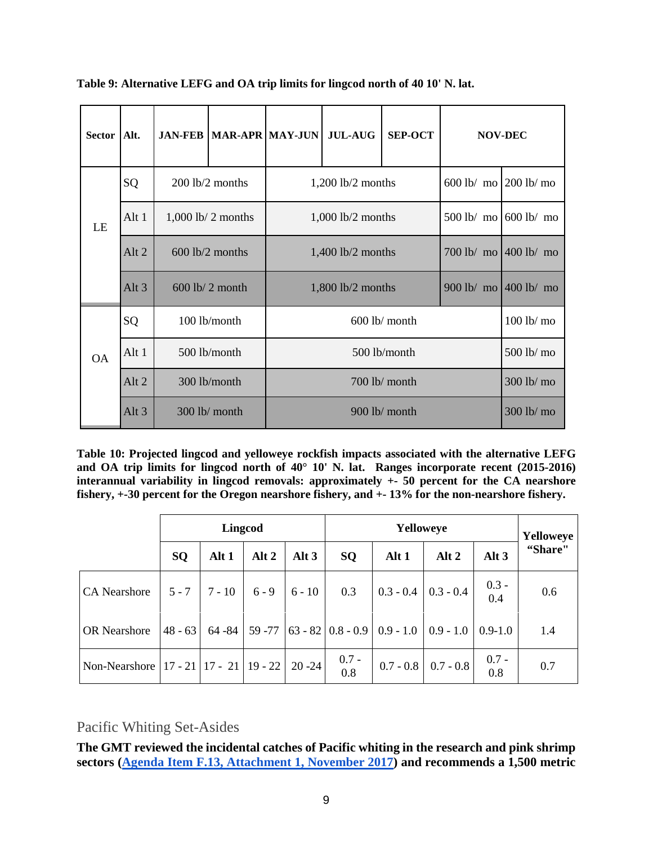| <b>Sector</b> | Alt.    |                      | <b>JAN-FEB   MAR-APR   MAY-JUN  </b> |  | <b>JUL-AUG</b>      | <b>SEP-OCT</b>  | <b>NOV-DEC</b>        |                            |  |
|---------------|---------|----------------------|--------------------------------------|--|---------------------|-----------------|-----------------------|----------------------------|--|
|               | SQ      | 200 lb/2 months      |                                      |  | $1,200$ lb/2 months |                 | 600 lb/ mo 200 lb/ mo |                            |  |
| LE            | Alt 1   | $1,000$ lb/ 2 months |                                      |  | $1,000$ lb/2 months | $500$ lb/ mo    | $600$ lb/ mo          |                            |  |
|               | Alt 2   | 600 lb/2 months      |                                      |  | $1,400$ lb/2 months | 700 lb/ mo      | $400$ lb/ mo          |                            |  |
|               | Alt $3$ |                      | $600$ lb/ 2 month                    |  | $1,800$ lb/2 months |                 |                       | 400 lb/ mo<br>$900$ lb/ mo |  |
|               | SQ      |                      | 100 lb/month                         |  |                     | $600$ lb/ month |                       | 100 lb/ mo                 |  |
| <b>OA</b>     | Alt $1$ | 500 lb/month         |                                      |  | 500 lb/month        |                 |                       |                            |  |
|               | Alt 2   | 300 lb/month         |                                      |  | 700 lb/ month       |                 |                       |                            |  |
|               | Alt $3$ |                      | $300$ lb/ month                      |  | $900$ lb/ month     |                 |                       |                            |  |

<span id="page-8-0"></span>**Table 9: Alternative LEFG and OA trip limits for lingcod north of 40 10' N. lat.**

<span id="page-8-1"></span>**Table 10: Projected lingcod and yelloweye rockfish impacts associated with the alternative LEFG and OA trip limits for lingcod north of 40° 10' N. lat. Ranges incorporate recent (2015-2016) interannual variability in lingcod removals: approximately +- 50 percent for the CA nearshore fishery, +-30 percent for the Oregon nearshore fishery, and +- 13% for the non-nearshore fishery.** 

|                           |           | <b>Lingcod</b>      |         |           | Yelloweye                                 |             |             |                | Yelloweye |
|---------------------------|-----------|---------------------|---------|-----------|-------------------------------------------|-------------|-------------|----------------|-----------|
|                           | <b>SQ</b> | Alt 1               | Alt 2   | Alt 3     | <b>SQ</b>                                 | Alt 1       | Alt 2       | Alt $3$        | "Share"   |
| <b>CA</b> Nearshore       | $5 - 7$   | $7 - 10$            | $6 - 9$ | $6 - 10$  | 0.3                                       | $0.3 - 0.4$ | $0.3 - 0.4$ | $0.3 -$<br>0.4 | 0.6       |
| <b>OR</b> Nearshore       | $48 - 63$ |                     |         |           | $64 - 84$   59 - 77   63 - 82   0.8 - 0.9 | $0.9 - 1.0$ | $0.9 - 1.0$ | $0.9 - 1.0$    | 1.4       |
| Non-Nearshore $ 17 - 21 $ |           | $17 - 21$   19 - 22 |         | $20 - 24$ | $0.7 -$<br>0.8                            | $0.7 - 0.8$ | $0.7 - 0.8$ | $0.7 -$<br>0.8 | 0.7       |

Pacific Whiting Set-Asides

**The GMT reviewed the incidental catches of Pacific whiting in the research and pink shrimp sectors [\(Agenda Item F.13, Attachment 1, November 2017\)](http://www.pcouncil.org/wp-content/uploads/2017/10/F13_Att1_Whiting_NOV2017BB.pdf) and recommends a 1,500 metric**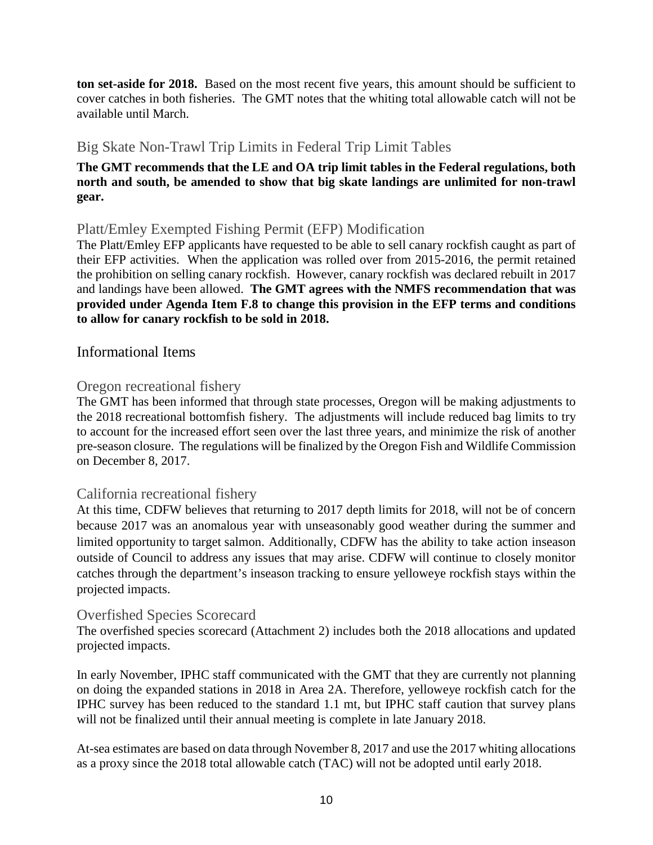**ton set-aside for 2018.** Based on the most recent five years, this amount should be sufficient to cover catches in both fisheries. The GMT notes that the whiting total allowable catch will not be available until March.

# Big Skate Non-Trawl Trip Limits in Federal Trip Limit Tables

#### **The GMT recommends that the LE and OA trip limit tables in the Federal regulations, both north and south, be amended to show that big skate landings are unlimited for non-trawl gear.**

### Platt/Emley Exempted Fishing Permit (EFP) Modification

The Platt/Emley EFP applicants have requested to be able to sell canary rockfish caught as part of their EFP activities. When the application was rolled over from 2015-2016, the permit retained the prohibition on selling canary rockfish. However, canary rockfish was declared rebuilt in 2017 and landings have been allowed. **The GMT agrees with the NMFS recommendation that was provided under Agenda Item F.8 to change this provision in the EFP terms and conditions to allow for canary rockfish to be sold in 2018.**

### Informational Items

### Oregon recreational fishery

The GMT has been informed that through state processes, Oregon will be making adjustments to the 2018 recreational bottomfish fishery. The adjustments will include reduced bag limits to try to account for the increased effort seen over the last three years, and minimize the risk of another pre-season closure. The regulations will be finalized by the Oregon Fish and Wildlife Commission on December 8, 2017.

### California recreational fishery

At this time, CDFW believes that returning to 2017 depth limits for 2018, will not be of concern because 2017 was an anomalous year with unseasonably good weather during the summer and limited opportunity to target salmon. Additionally, CDFW has the ability to take action inseason outside of Council to address any issues that may arise. CDFW will continue to closely monitor catches through the department's inseason tracking to ensure yelloweye rockfish stays within the projected impacts.

### Overfished Species Scorecard

The overfished species scorecard (Attachment 2) includes both the 2018 allocations and updated projected impacts.

In early November, IPHC staff communicated with the GMT that they are currently not planning on doing the expanded stations in 2018 in Area 2A. Therefore, yelloweye rockfish catch for the IPHC survey has been reduced to the standard 1.1 mt, but IPHC staff caution that survey plans will not be finalized until their annual meeting is complete in late January 2018.

At-sea estimates are based on data through November 8, 2017 and use the 2017 whiting allocations as a proxy since the 2018 total allowable catch (TAC) will not be adopted until early 2018.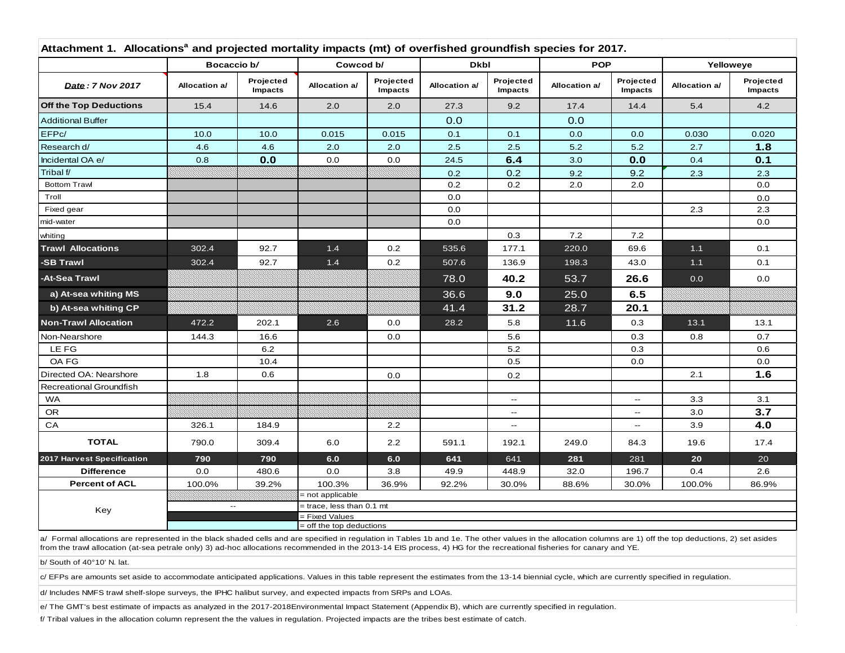|                                | Bocaccio b/              |                      | Cowcod b/                                  |                      | <b>Dkbl</b>   |                                    | <b>POP</b>    |                          | Yelloweye     |                      |
|--------------------------------|--------------------------|----------------------|--------------------------------------------|----------------------|---------------|------------------------------------|---------------|--------------------------|---------------|----------------------|
| Date: 7 Nov 2017               | Allocation a/            | Projected<br>Impacts | Allocation a/                              | Projected<br>Impacts | Allocation a/ | Projected<br>Impacts               | Allocation a/ | Projected<br>Impacts     | Allocation a/ | Projected<br>Impacts |
| <b>Off the Top Deductions</b>  | 15.4                     | 14.6                 | 2.0                                        | 2.0                  | 27.3          | 9.2                                | 17.4          | 14.4                     | 5.4           | 4.2                  |
| <b>Additional Buffer</b>       |                          |                      |                                            |                      | 0.0           |                                    | 0.0           |                          |               |                      |
| EFPc/                          | 10.0                     | 10.0                 | 0.015                                      | 0.015                | 0.1           | 0.1                                | 0.0           | 0.0                      | 0.030         | 0.020                |
| Research d/                    | 4.6                      | 4.6                  | 2.0                                        | 2.0                  | 2.5           | 2.5                                | 5.2           | 5.2                      | 2.7           | 1.8                  |
| Incidental OA e/               | 0.8                      | 0.0                  | 0.0                                        | 0.0                  | 24.5          | 6.4                                | 3.0           | 0.0                      | 0.4           | 0.1                  |
| Tribal f/                      |                          |                      |                                            |                      | 0.2           | 0.2                                | 9.2           | 9.2                      | 2.3           | 2.3                  |
| <b>Bottom Trawl</b>            |                          |                      |                                            |                      | 0.2           | 0.2                                | 2.0           | 2.0                      |               | 0.0                  |
| Troll                          |                          |                      |                                            |                      | 0.0           |                                    |               |                          |               | 0.0                  |
| Fixed gear                     |                          |                      |                                            |                      | 0.0           |                                    |               |                          | 2.3           | 2.3                  |
| mid-water                      |                          |                      |                                            |                      | 0.0           |                                    |               |                          |               | 0.0                  |
| whiting                        |                          |                      |                                            |                      |               | 0.3                                | 7.2           | 7.2                      |               |                      |
| <b>Trawl Allocations</b>       | 302.4                    | 92.7                 | 1.4                                        | 0.2                  | 535.6         | 177.1                              | 220.0         | 69.6                     | $1.1$         | 0.1                  |
| -SB Trawl                      | 302.4                    | 92.7                 | $1.4$                                      | 0.2                  | 507.6         | 136.9                              | 198.3         | 43.0                     | $1.1$         | 0.1                  |
| -At-Sea Trawl                  |                          |                      |                                            |                      | 78.0          | 40.2                               | 53.7          | 26.6                     | 0.0           | 0.0                  |
| a) At-sea whiting MS           |                          |                      |                                            |                      | 36.6          | 9.0                                | 25.0          | 6.5                      |               |                      |
| b) At-sea whiting CP           |                          |                      |                                            |                      | 41.4          | 31.2                               | 28.7          | 20.1                     |               |                      |
| <b>Non-Trawl Allocation</b>    | 472.2                    | 202.1                | 2.6                                        | 0.0                  | 28.2          | 5.8                                | 11.6          | 0.3                      | 13.1          | 13.1                 |
| Non-Nearshore                  | 144.3                    | 16.6                 |                                            | 0.0                  |               | 5.6                                |               | 0.3                      | 0.8           | 0.7                  |
| LE FG                          |                          | 6.2                  |                                            |                      |               | 5.2                                |               | 0.3                      |               | 0.6                  |
| OA FG                          |                          | 10.4                 |                                            |                      |               | 0.5                                |               | $0.0\,$                  |               | 0.0                  |
| Directed OA: Nearshore         | 1.8                      | 0.6                  |                                            | 0.0                  |               | 0.2                                |               |                          | 2.1           | 1.6                  |
| <b>Recreational Groundfish</b> |                          |                      |                                            |                      |               |                                    |               |                          |               |                      |
| <b>WA</b>                      |                          |                      |                                            |                      |               | $\overline{\phantom{a}}$           |               | $\overline{\phantom{a}}$ | 3.3           | 3.1                  |
| <b>OR</b>                      |                          |                      |                                            |                      |               | $-$                                |               | $\overline{\phantom{a}}$ | 3.0           | 3.7                  |
| CA                             | 326.1                    | 184.9                |                                            | 2.2                  |               | $\hspace{0.05cm} -\hspace{0.05cm}$ |               | $\overline{\phantom{a}}$ | 3.9           | 4.0                  |
| <b>TOTAL</b>                   | 790.0                    | 309.4                | 6.0                                        | 2.2                  | 591.1         | 192.1                              | 249.0         | 84.3                     | 19.6          | 17.4                 |
| 2017 Harvest Specification     | 790                      | 790                  | 6.0                                        | 6.0                  | 641           | 641                                | 281           | 281                      | 20            | 20                   |
| <b>Difference</b>              | 0.0                      | 480.6                | 0.0                                        | 3.8                  | 49.9          | 448.9                              | 32.0          | 196.7                    | 0.4           | 2.6                  |
| <b>Percent of ACL</b>          | 100.0%                   | 39.2%                | 100.3%                                     | 36.9%                | 92.2%         | 30.0%                              | 88.6%         | 30.0%                    | 100.0%        | 86.9%                |
|                                |                          |                      | = not applicable                           |                      |               |                                    |               |                          |               |                      |
| Key                            | $\overline{\phantom{a}}$ |                      | = trace, less than 0.1 mt                  |                      |               |                                    |               |                          |               |                      |
|                                |                          |                      | = Fixed Values<br>= off the top deductions |                      |               |                                    |               |                          |               |                      |

a/ Formal allocations are represented in the black shaded cells and are specified in regulation in Tables 1b and 1e. The other values in the allocation columns are 1) off the top deductions, 2) set asides from the trawl allocation (at-sea petrale only) 3) ad-hoc allocations recommended in the 2013-14 EIS process, 4) HG for the recreational fisheries for canary and YE.

b/ South of 40°10' N. lat.

 $c$ / EFPs are amounts set aside to accommodate anticipated applications. Values in this table represent the estimates from the 13-14 biennial cycle, which are currently specified in regulation.

d/ Includes NMFS trawl shelf-slope surveys, the IPHC halibut survey, and expected impacts from SRPs and LOAs.

e/ The GMT's best estimate of impacts as analyzed in the 2017-2018Environmental Impact Statement (Appendix B), which are currently specified in regulation.

f/ Tribal values in the allocation column represent the the values in regulation. Projected impacts are the tribes best estimate of catch.